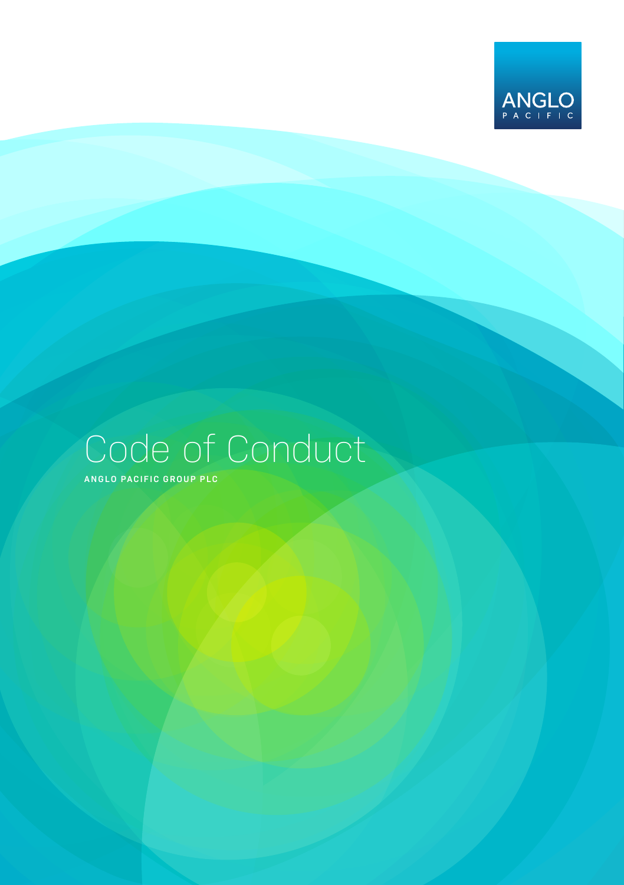

# Code of Conduct

**ANGLO PACIFIC GROUP PLC**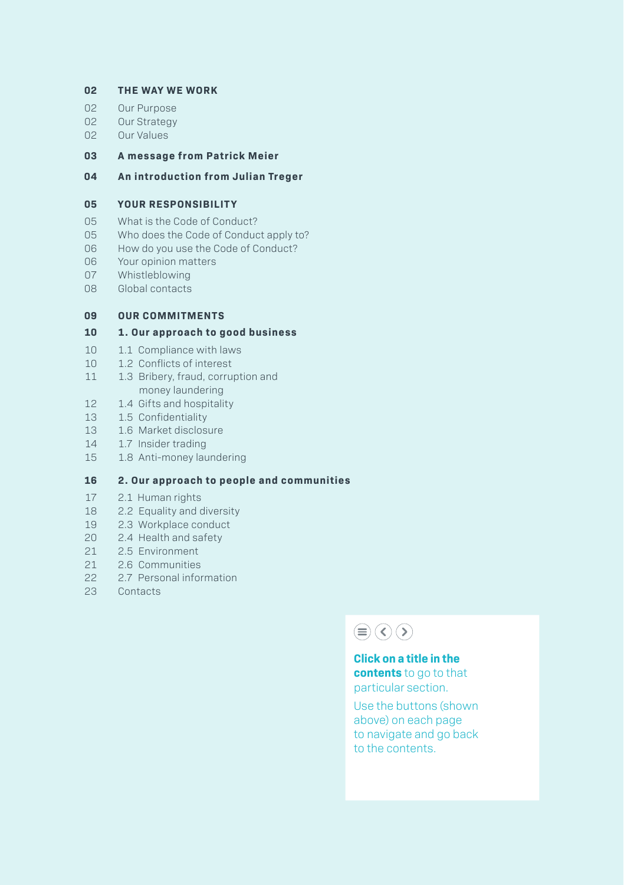#### **THE WAY WE WORK**

- Our Purpose
- 02 Our Strategy<br>02 Our Values
- Our Values

#### **A message from Patrick Meier**

#### **An introduction from Julian Treger**

#### **YOUR RESPONSIBILITY**

- 05 What is the Code of Conduct?<br>05 Who does the Code of Conduc
- Who does the Code of Conduct apply to?
- How do you use the Code of Conduct?
- Your opinion matters
- Whistleblowing
- Global contacts

#### **OUR COMMITMENTS**

#### **1. Our approach to good business**

- 1.1 Compliance with laws
- 1.2 Conflicts of interest
- 11 1.3 Bribery, fraud, corruption and money laundering
- 1.4 Gifts and hospitality
- 1.5 Confidentiality
- 13 1.6 Market disclosure<br>14 1.7 Insider trading
- 1.7 Insider trading
- 1.8 Anti-money laundering

#### **2. Our approach to people and communities**

- 2.1 Human rights
- 2.2 Equality and diversity
- 2.3 Workplace conduct
- 2.4 Health and safety
- 2.5 Environment
- 2.6 Communities
- 2.7 Personal information
- Contacts

## $\textcircled{\scriptsize{\textcircled{\#}}}(\textcircled{\scriptsize{\textcircled{\#}}})$

**Click on a title in the contents** to go to that particular section.

Use the buttons (shown above) on each page to navigate and go back to the contents.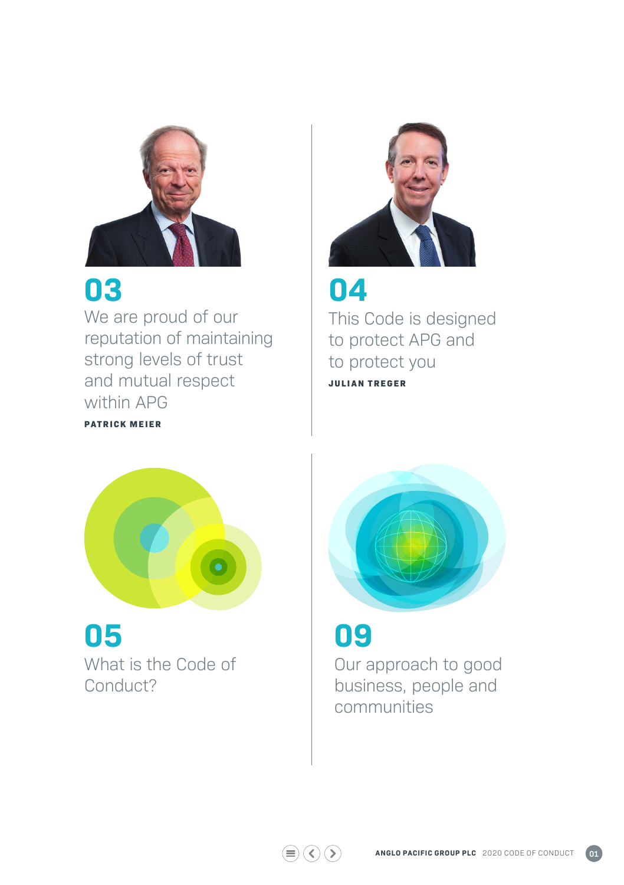

## **03**

**PATRICK MEIER**

We are proud of our reputation of maintaining strong levels of trust and mutual respect within APG



## **04**

This Code is designed to protect APG and to protect you **JULIAN TREGER**



## **05**  What is the Code of Conduct?



## **09**

 $\textcircled{\scriptsize{}}\textcircled{\scriptsize{}}\textcircled{\scriptsize{}}\textcircled{\scriptsize{}}\textcircled{\scriptsize{}}$ 

Our approach to good business, people and communities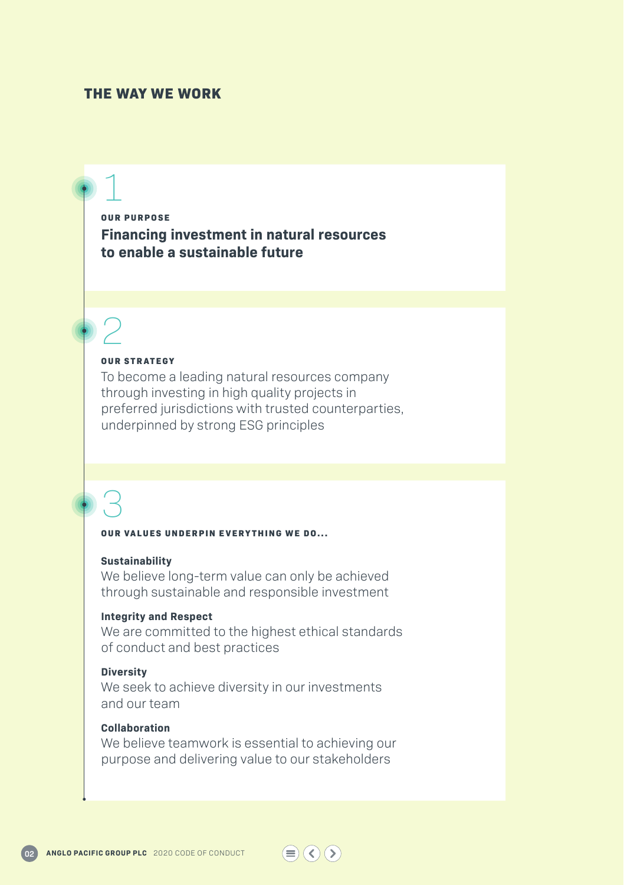#### **THE WAY WE WORK**

## 1

**OUR PURPOSE Financing investment in natural resources to enable a sustainable future**

# 2

#### **OUR STRATEGY**

To become a leading natural resources company through investing in high quality projects in preferred jurisdictions with trusted counterparties, underpinned by strong ESG principles

## 3

#### **OUR VALUES UNDERPIN EVERYTHING WE DO...**

#### **Sustainability**

We believe long-term value can only be achieved through sustainable and responsible investment

#### **Integrity and Respect**

We are committed to the highest ethical standards of conduct and best practices

#### **Diversity**

We seek to achieve diversity in our investments and our team

#### **Collaboration**

We believe teamwork is essential to achieving our purpose and delivering value to our stakeholders

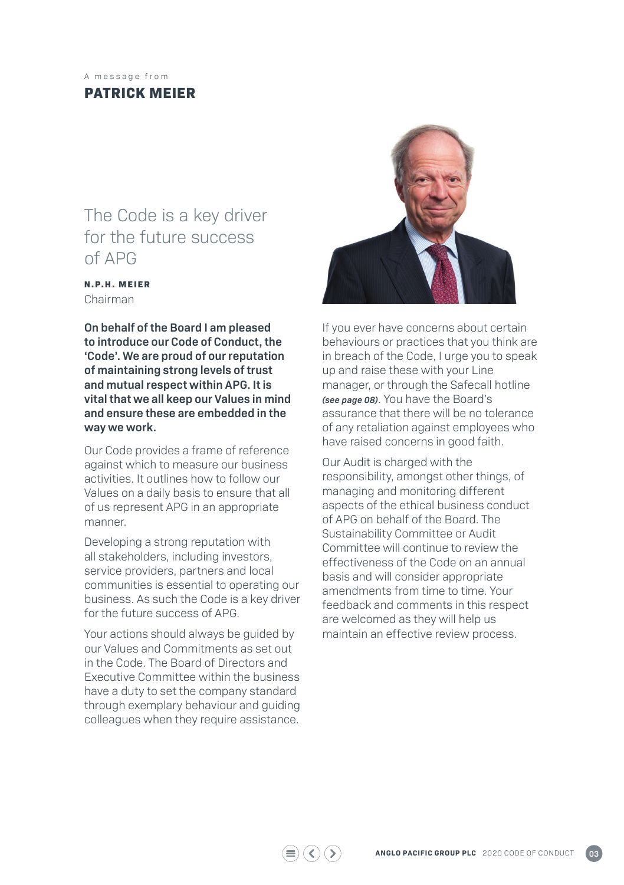#### A message from

### **PATRICK MEIER**

## The Code is a key driver for the future success of APG

#### **N.P.H. MEIER** Chairman

**On behalf of the Board I am pleased to introduce our Code of Conduct, the 'Code'. We are proud of our reputation of maintaining strong levels of trust and mutual respect within APG. It is vital that we all keep our Values in mind and ensure these are embedded in the way we work.**

Our Code provides a frame of reference against which to measure our business activities. It outlines how to follow our Values on a daily basis to ensure that all of us represent APG in an appropriate manner.

Developing a strong reputation with all stakeholders, including investors, service providers, partners and local communities is essential to operating our business. As such the Code is a key driver for the future success of APG.

Your actions should always be guided by our Values and Commitments as set out in the Code. The Board of Directors and Executive Committee within the business have a duty to set the company standard through exemplary behaviour and guiding colleagues when they require assistance.



If you ever have concerns about certain behaviours or practices that you think are in breach of the Code, I urge you to speak up and raise these with your Line manager, or through the Safecall hotline *(see page 08)*. You have the Board's assurance that there will be no tolerance of any retaliation against employees who have raised concerns in good faith.

Our Audit is charged with the responsibility, amongst other things, of managing and monitoring different aspects of the ethical business conduct of APG on behalf of the Board. The Sustainability Committee or Audit Committee will continue to review the effectiveness of the Code on an annual hasis and will consider appropriate amendments from time to time. Your feedback and comments in this respect are welcomed as they will help us maintain an effective review process.

 $\left(\zeta\right)\left(\zeta\right)$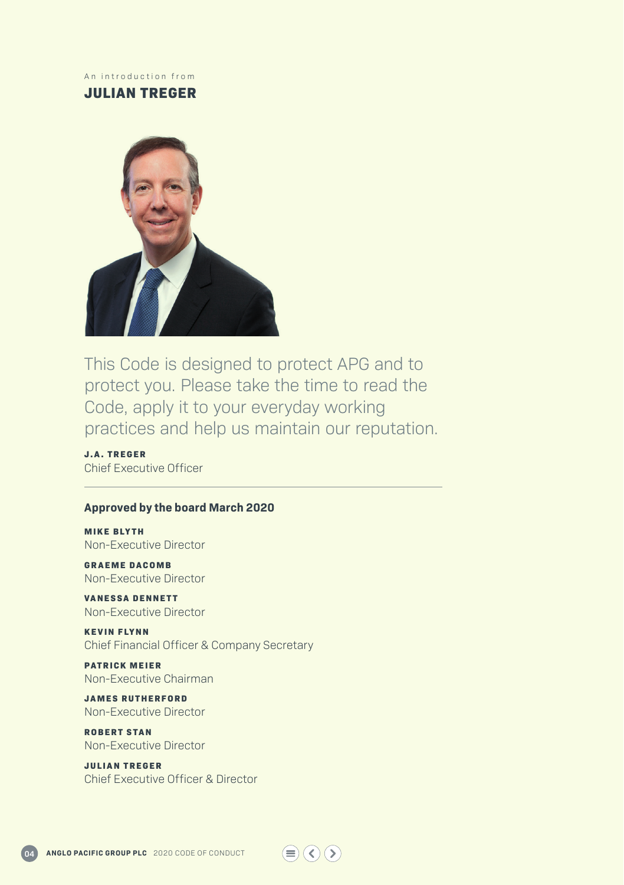#### An introduction from

### **JULIAN TREGER**



This Code is designed to protect APG and to protect you. Please take the time to read the Code, apply it to your everyday working practices and help us maintain our reputation.

**J.A. TREGER** Chief Executive Officer

#### **Approved by the board March 2020**

**MIKE BLYTH** Non-Executive Director

**GRAEME DACOMB** Non-Executive Director

**VANESSA DENNETT** Non-Executive Director

**KEVIN FLYNN** Chief Financial Officer & Company Secretary

**PATRICK MEIER** Non-Executive Chairman

**JAMES RUTHERFORD** Non-Executive Director

**ROBERT STAN** Non-Executive Director

**JULIAN TREGER** Chief Executive Officer & Director

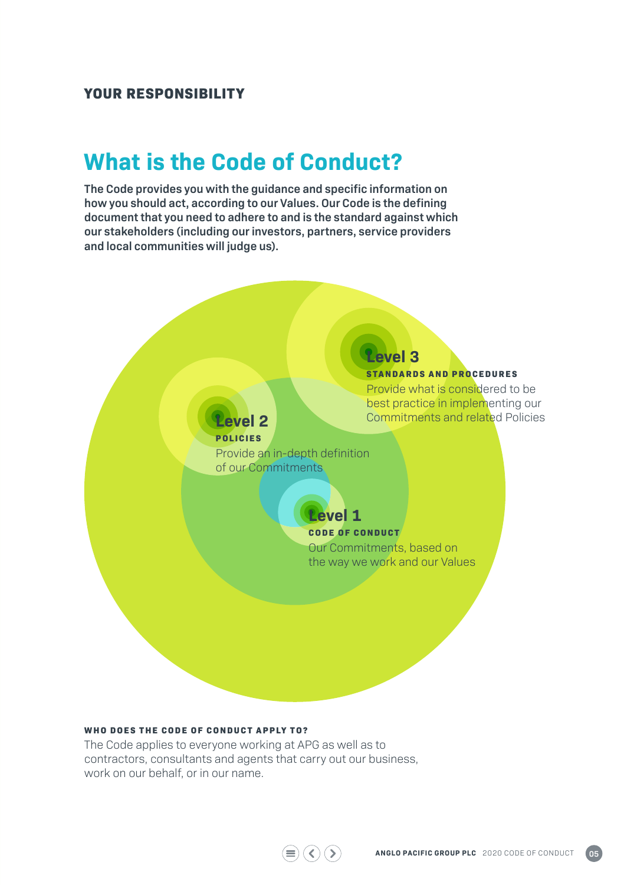#### **YOUR RESPONSIBILITY**

## **What is the Code of Conduct?**

**The Code provides you with the guidance and specific information on how you should act, according to our Values. Our Code is the defining document that you need to adhere to and is the standard against which our stakeholders (including our investors, partners, service providers and local communities will judge us).** 



 $\textcircled{\scriptsize{\textcircled{\#}}} \textcircled{\scriptsize{\textcircled{\#}}} \textcircled{\scriptsize{\textcircled{\#}}}$ 

#### **WHO DOES THE CODE OF CONDUCT APPLY TO?**

The Code applies to everyone working at APG as well as to contractors, consultants and agents that carry out our business, work on our behalf, or in our name.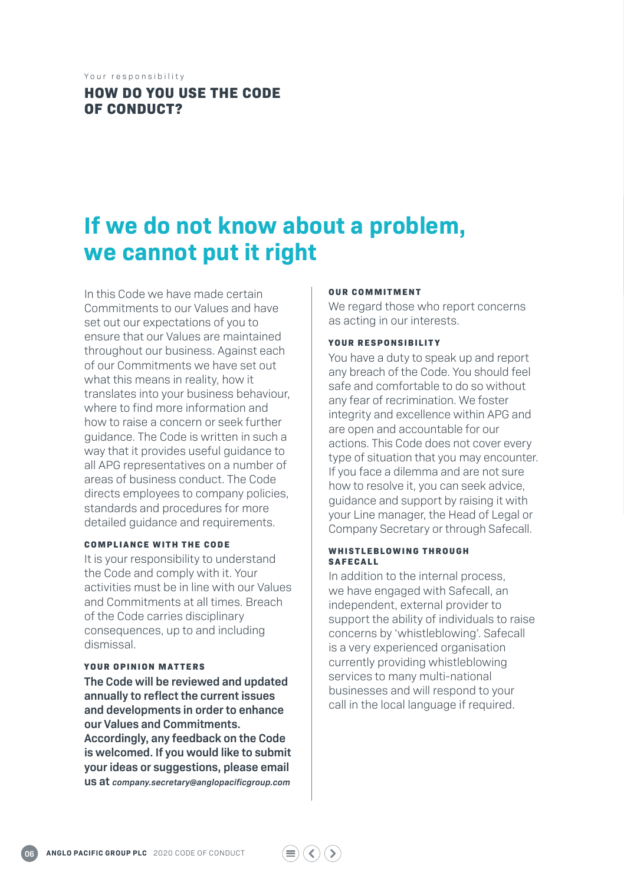Your responsibility

### **HOW DO YOU USE THE CODE OF CONDUCT?**

## **If we do not know about a problem, we cannot put it right**

In this Code we have made certain Commitments to our Values and have set out our expectations of you to ensure that our Values are maintained throughout our business. Against each of our Commitments we have set out what this means in reality, how it translates into your business behaviour, where to find more information and how to raise a concern or seek further guidance. The Code is written in such a way that it provides useful guidance to all APG representatives on a number of areas of business conduct. The Code directs employees to company policies, standards and procedures for more detailed guidance and requirements.

#### **COMPLIANCE WITH THE CODE**

It is your responsibility to understand the Code and comply with it. Your activities must be in line with our Values and Commitments at all times. Breach of the Code carries disciplinary consequences, up to and including dismissal.

#### **YOUR OPINION MATTERS**

**The Code will be reviewed and updated annually to reflect the current issues and developments in order to enhance our Values and Commitments. Accordingly, any feedback on the Code is welcomed. If you would like to submit your ideas or suggestions, please email us at** *company.secretary@anglopacificgroup.com*

#### **OUR COMMITMENT**

We regard those who report concerns as acting in our interests.

#### **YOUR RESPONSIBILITY**

You have a duty to speak up and report any breach of the Code. You should feel safe and comfortable to do so without any fear of recrimination. We foster integrity and excellence within APG and are open and accountable for our actions. This Code does not cover every type of situation that you may encounter. If you face a dilemma and are not sure how to resolve it, you can seek advice, guidance and support by raising it with your Line manager, the Head of Legal or Company Secretary or through Safecall.

#### **W H I S T L E B L O W I N G T H R O U G H SAFECALL**

 $\left(\langle \rangle\right)\left(\rangle$ 

In addition to the internal process, we have engaged with Safecall, an independent, external provider to support the ability of individuals to raise concerns by 'whistleblowing'. Safecall is a very experienced organisation currently providing whistleblowing services to many multi-national businesses and will respond to your call in the local language if required.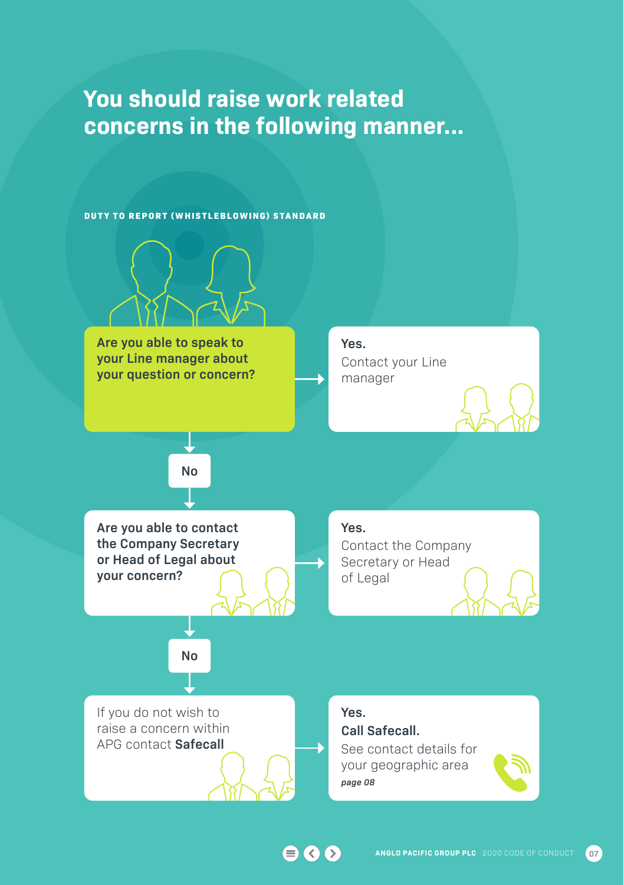## **You should raise work related concerns in the following manner...**



 $\bigcirc$   $\bigcirc$   $\bigcirc$ 

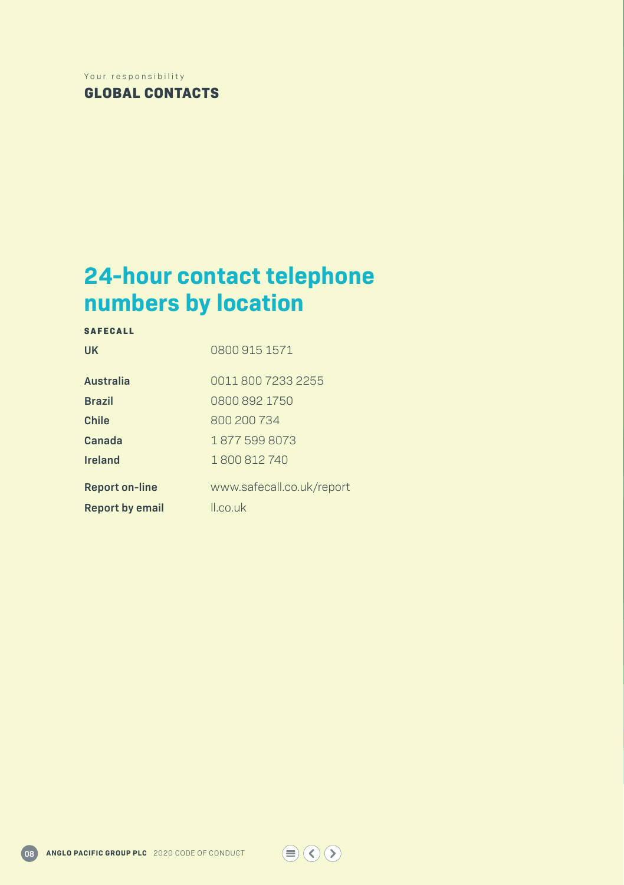#### Your responsibility

**GLOBAL CONTACTS**

## **24-hour contact telephone numbers by location**

**S A F E C A L L** 

**UK** 0800 915 1571

| Australia              | 0011 800 7233 2255        |
|------------------------|---------------------------|
| <b>Brazil</b>          | 0800 892 1750             |
| Chile                  | 800 200 734               |
| Canada                 | 18775998073               |
| <b>Ireland</b>         | 1800812740                |
| <b>Report on-line</b>  | www.safecall.co.uk/report |
| <b>Report by email</b> | II.co.uk                  |

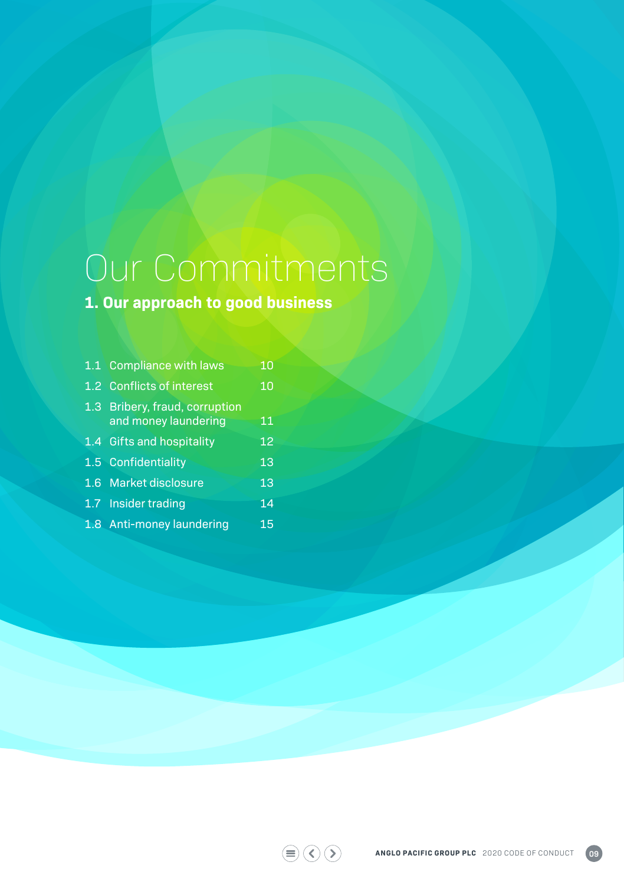# Our Commitments

## **1. Our approach to good business**

|                  | 1.1 Compliance with laws                           | 10 |
|------------------|----------------------------------------------------|----|
|                  | 1.2 Conflicts of interest                          | 10 |
| 1.3 <sub>1</sub> | Bribery, fraud, corruption<br>and money laundering | 11 |
|                  | 1.4 Gifts and hospitality                          | 12 |
|                  | 1.5 Confidentiality                                | 13 |
|                  | 1.6 Market disclosure                              | 13 |
|                  | 1.7 Insider trading                                | 14 |
|                  | 1.8 Anti-money laundering                          | 15 |

 $\textcircled{\footnotesize{#}}\textcircled{\footnotesize{#}}\textcircled{\footnotesize{#}}$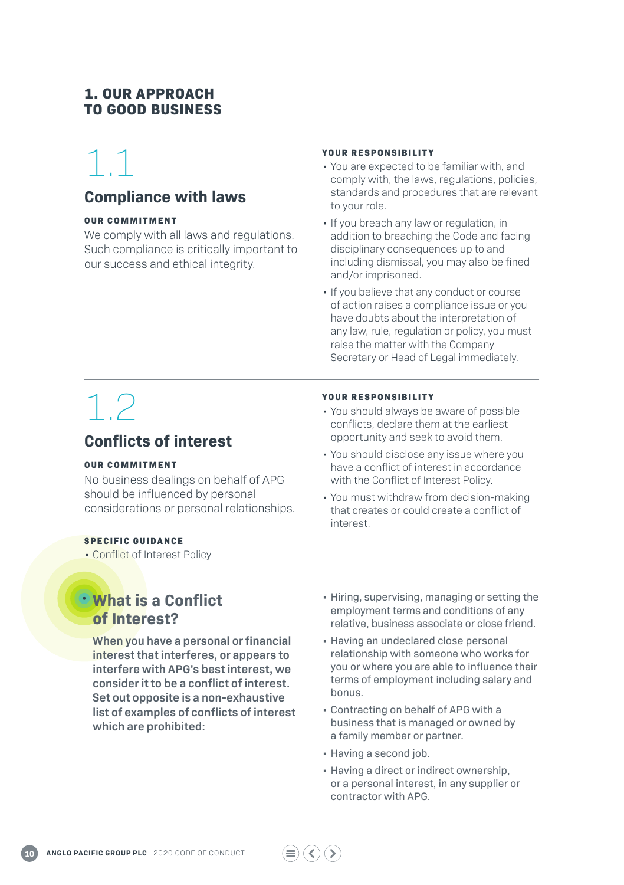### **1. OUR APPROACH TO GOOD BUSINESS**

# 1.1

### **Compliance with laws**

#### **OUR COMMITMENT**

We comply with all laws and regulations. Such compliance is critically important to our success and ethical integrity.

#### **YOUR RESPONSIBILITY**

- You are expected to be familiar with, and comply with, the laws, regulations, policies, standards and procedures that are relevant to your role.
- If you breach any law or regulation, in addition to breaching the Code and facing disciplinary consequences up to and including dismissal, you may also be fined and/or imprisoned.
- If you believe that any conduct or course of action raises a compliance issue or you have doubts about the interpretation of any law, rule, regulation or policy, you must raise the matter with the Company Secretary or Head of Legal immediately.

# 1.2

## **Conflicts of interest**

#### **OUR COMMITMENT**

No business dealings on behalf of APG should be influenced by personal considerations or personal relationships.

#### **SPECIFIC GUIDANCE**

• Conflict of Interest Policy

## **What is a Conflict of Interest?**

**When you have a personal or financial interest that interferes, or appears to interfere with APG's best interest, we consider it to be a conflict of interest. Set out opposite is a non-exhaustive list of examples of conflicts of interest which are prohibited:**

- **YOUR RESPONSIBILITY**
- You should always be aware of possible conflicts, declare them at the earliest opportunity and seek to avoid them.
- You should disclose any issue where you have a conflict of interest in accordance with the Conflict of Interest Policy.
- You must withdraw from decision-making that creates or could create a conflict of interest.
- Hiring, supervising, managing or setting the employment terms and conditions of any relative, business associate or close friend.
- Having an undeclared close personal relationship with someone who works for you or where you are able to influence their terms of employment including salary and bonus.
- Contracting on behalf of APG with a business that is managed or owned by a family member or partner.
- Having a second job.
- Having a direct or indirect ownership, or a personal interest, in any supplier or contractor with APG.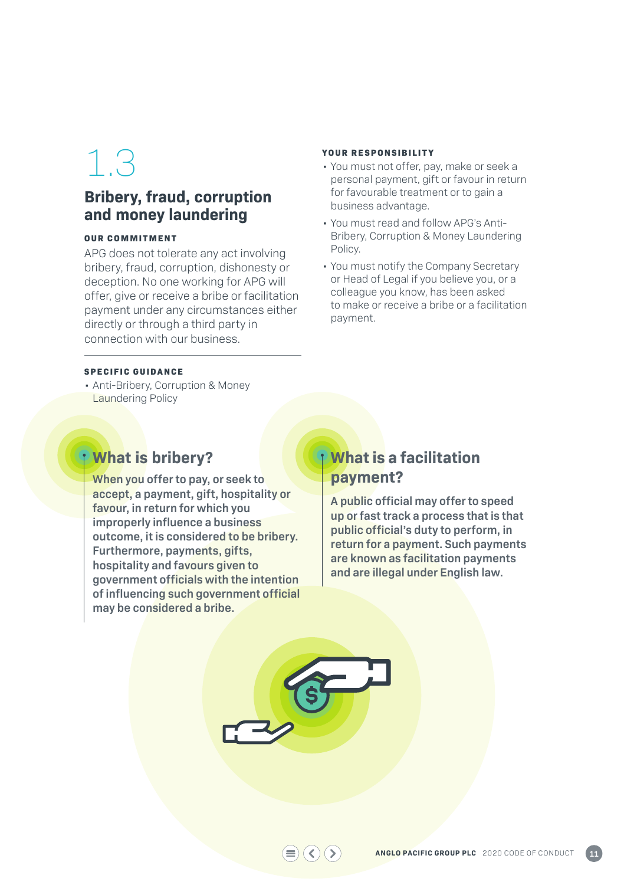### **Bribery, fraud, corruption and money laundering**

#### **OUR COMMITMENT**

APG does not tolerate any act involving bribery, fraud, corruption, dishonesty or deception. No one working for APG will offer, give or receive a bribe or facilitation payment under any circumstances either directly or through a third party in connection with our business.

#### **YOUR RESPONSIBILITY**

- You must not offer, pay, make or seek a personal payment, gift or favour in return for favourable treatment or to gain a business advantage.
- You must read and follow APG's Anti-Bribery, Corruption & Money Laundering Policy.
- You must notify the Company Secretary or Head of Legal if you believe you, or a colleague you know, has been asked to make or receive a bribe or a facilitation payment.

#### **SPECIFIC GUIDANCE**

• Anti-Bribery, Corruption & Money Laundering Policy

## **What is bribery?**

**When you offer to pay, or seek to accept, a payment, gift, hospitality or favour, in return for which you improperly influence a business outcome, it is considered to be bribery. Furthermore, payments, gifts, hospitality and favours given to government officials with the intention of influencing such government official may be considered a bribe.**

### **What is a facilitation payment?**

**A public official may offer to speed up or fast track a process that is that public official's duty to perform, in return for a payment. Such payments are known as facilitation payments and are illegal under English law.** 



 $\left( \left. \right. \right.$  $\circ$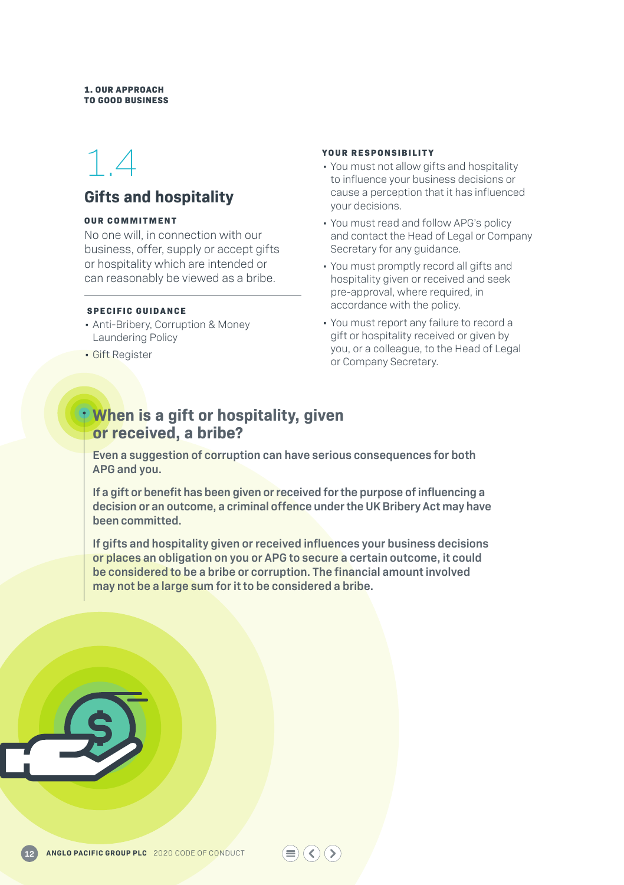#### **1. OUR APPROACH TO GOOD BUSINESS**

## 1.4

## **Gifts and hospitality**

#### **OUR COMMITMENT**

No one will, in connection with our business, offer, supply or accept gifts or hospitality which are intended or can reasonably be viewed as a bribe.

#### **SPECIFIC GUIDANCE**

- Anti-Bribery, Corruption & Money Laundering Policy
- Gift Register

#### **YOUR RESPONSIBILITY**

- You must not allow gifts and hospitality to influence your business decisions or cause a perception that it has influenced your decisions.
- You must read and follow APG's policy and contact the Head of Legal or Company Secretary for any guidance.
- You must promptly record all gifts and hospitality given or received and seek pre-approval, where required, in accordance with the policy.
- You must report any failure to record a gift or hospitality received or given by you, or a colleague, to the Head of Legal or Company Secretary.

### **When is a gift or hospitality, given or received, a bribe?**

**Even a suggestion of corruption can have serious consequences for both APG and you.**

**If a gift or benefit has been given or received for the purpose of influencing a decision or an outcome, a criminal offence under the UK Bribery Act may have been committed.**

**If gifts and hospitality given or received influences your business decisions or places an obligation on you or APG to secure a certain outcome, it could be considered to be a bribe or corruption. The financial amount involved may not be a large sum for it to be considered a bribe.**

 $\left( \langle \rangle \right)$ 

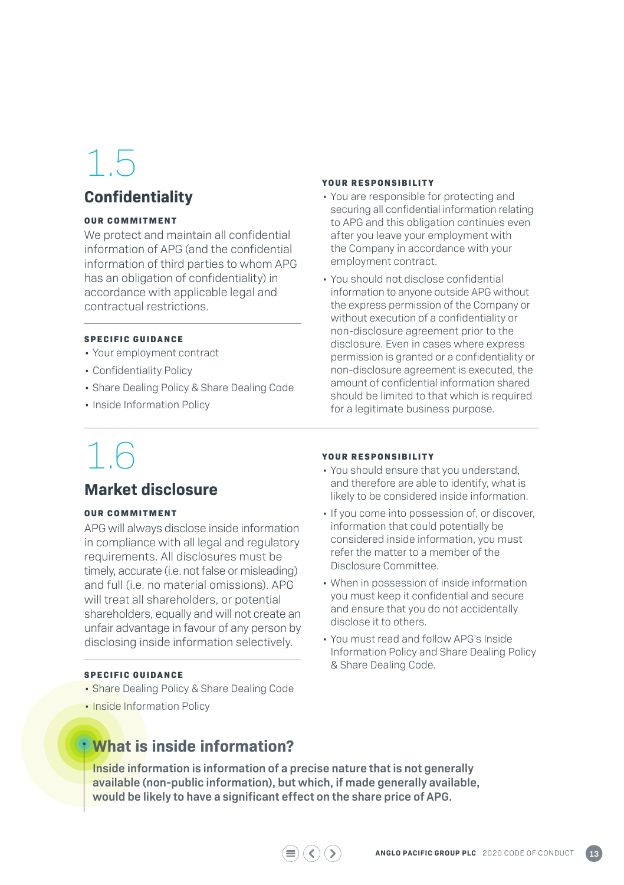### **Confidentiality**

#### **OUR COMMITMENT**

We protect and maintain all confidential information of APG (and the confidential information of third parties to whom APG has an obligation of confidentiality) in accordance with applicable legal and contractual restrictions.

#### **SPECIFIC GUIDANCE**

- Your employment contract
- Confidentiality Policy
- Share Dealing Policy & Share Dealing Code
- Inside Information Policy

# 1.6

### **Market disclosure**

#### **OUR COMMITMENT**

APG will always disclose inside information in compliance with all legal and regulatory requirements. All disclosures must be timely, accurate (i.e. not false or misleading) and full (i.e. no material omissions). APG will treat all shareholders, or potential shareholders, equally and will not create an unfair advantage in favour of any person by disclosing inside information selectively.

#### **SPECIFIC GUIDANCE**

- Share Dealing Policy & Share Dealing Code
- Inside Information Policy

#### **YOUR RESPONSIBILITY**

- You are responsible for protecting and securing all confidential information relating to APG and this obligation continues even after you leave your employment with the Company in accordance with your employment contract.
- You should not disclose confidential information to anyone outside APG without the express permission of the Company or without execution of a confidentiality or non-disclosure agreement prior to the disclosure. Even in cases where express permission is granted or a confidentiality or non-disclosure agreement is executed, the amount of confidential information shared should be limited to that which is required for a legitimate business purpose.

#### **YOUR RESPONSIBILITY**

- You should ensure that you understand, and therefore are able to identify, what is likely to be considered inside information.
- If you come into possession of, or discover, information that could potentially be considered inside information, you must refer the matter to a member of the Disclosure Committee.
- When in possession of inside information you must keep it confidential and secure and ensure that you do not accidentally disclose it to others.
- You must read and follow APG's Inside Information Policy and Share Dealing Policy & Share Dealing Code.

### **What is inside information?**

**Inside information is information of a precise nature that is not generally available (non-public information), but which, if made generally available, would be likely to have a significant effect on the share price of APG.**

 $\langle \langle \rangle$   $\rangle$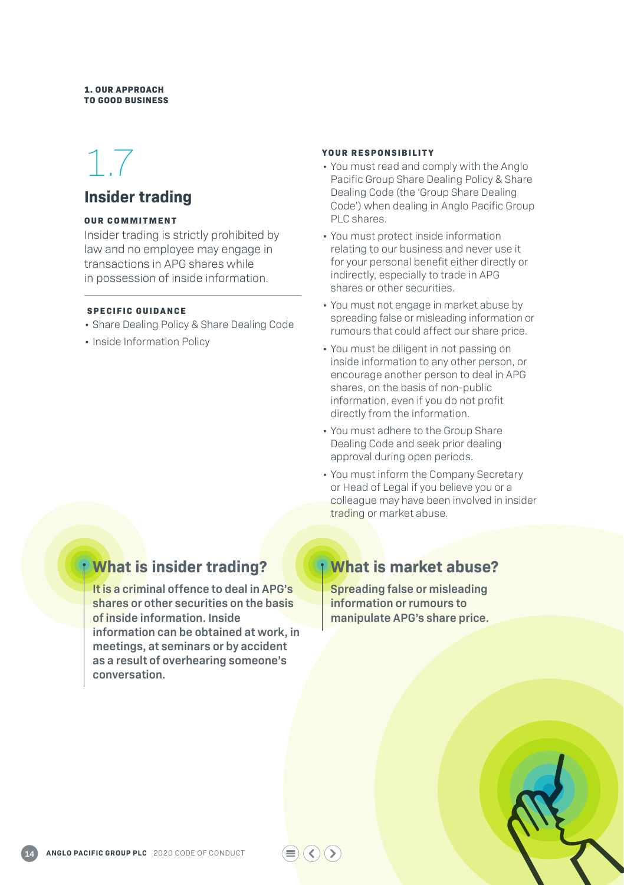#### **1. OUR APPROACH TO GOOD BUSINESS**

# 1.7

### **Insider trading**

#### **OUR COMMITMENT**

Insider trading is strictly prohibited by law and no employee may engage in transactions in APG shares while in possession of inside information.

#### **SPECIFIC GUIDANCE**

- Share Dealing Policy & Share Dealing Code
- Inside Information Policy

#### **YOUR RESPONSIBILITY**

- You must read and comply with the Anglo Pacific Group Share Dealing Policy & Share Dealing Code (the 'Group Share Dealing Code') when dealing in Anglo Pacific Group PLC shares.
- You must protect inside information relating to our business and never use it for your personal benefit either directly or indirectly, especially to trade in APG shares or other securities.
- You must not engage in market abuse by spreading false or misleading information or rumours that could affect our share price.
- You must be diligent in not passing on inside information to any other person, or encourage another person to deal in APG shares, on the basis of non-public information, even if you do not profit directly from the information.
- You must adhere to the Group Share Dealing Code and seek prior dealing approval during open periods.
- You must inform the Company Secretary or Head of Legal if you believe you or a colleague may have been involved in insider trading or market abuse.

## **What is insider trading?**

**It is a criminal offence to deal in APG's shares or other securities on the basis of inside information. Inside information can be obtained at work, in meetings, at seminars or by accident as a result of overhearing someone's conversation.**

## **What is market abuse?**

**Spreading false or misleading information or rumours to manipulate APG's share price.**

 $($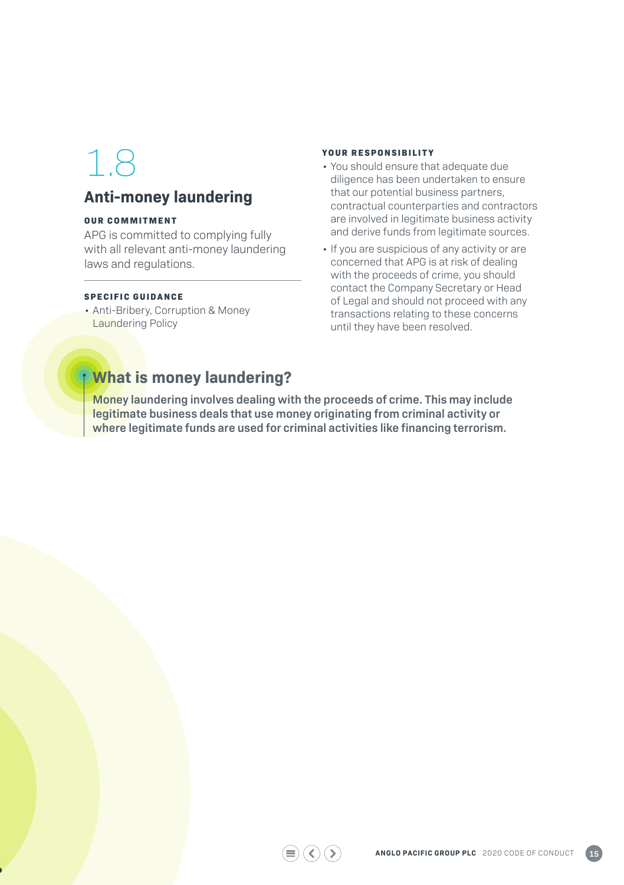## **Anti-money laundering**

#### **OUR COMMITMENT**

APG is committed to complying fully with all relevant anti-money laundering laws and regulations.

#### **SPECIFIC GUIDANCE**

• Anti-Bribery, Corruption & Money Laundering Policy

#### **YOUR RESPONSIBILITY**

- You should ensure that adequate due diligence has been undertaken to ensure that our potential business partners, contractual counterparties and contractors are involved in legitimate business activity and derive funds from legitimate sources.
- If you are suspicious of any activity or are concerned that APG is at risk of dealing with the proceeds of crime, you should contact the Company Secretary or Head of Legal and should not proceed with any transactions relating to these concerns until they have been resolved.

## **What is money laundering?**

**Money laundering involves dealing with the proceeds of crime. This may include legitimate business deals that use money originating from criminal activity or where legitimate funds are used for criminal activities like financing terrorism.**

 $\textcircled{\scriptsize{\textcircled{\#}}}$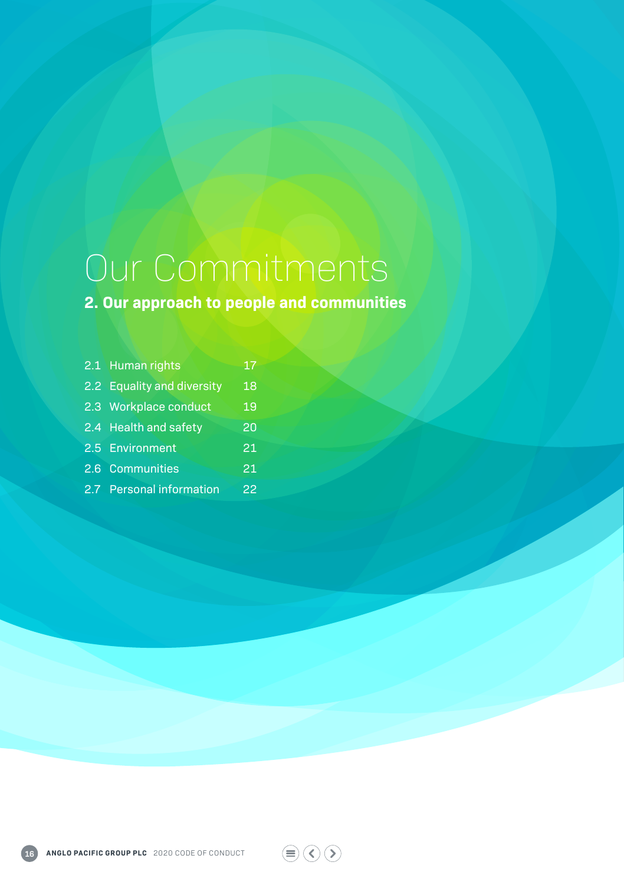# Our Commitments

**2. Our approach to people and communities**

| 2.1 Human rights           | 17 |
|----------------------------|----|
| 2.2 Equality and diversity | 18 |
| 2.3 Workplace conduct      | 19 |
| 2.4 Health and safety      | 20 |
| 2.5 Environment            | 21 |
| 2.6 Communities            | 21 |
| 2.7 Personal information   | 22 |
|                            |    |

 $\textcircled{\footnotesize{#}}\textcircled{\footnotesize{}}\textcircled{\footnotesize{}}\textcircled{\footnotesize{}}$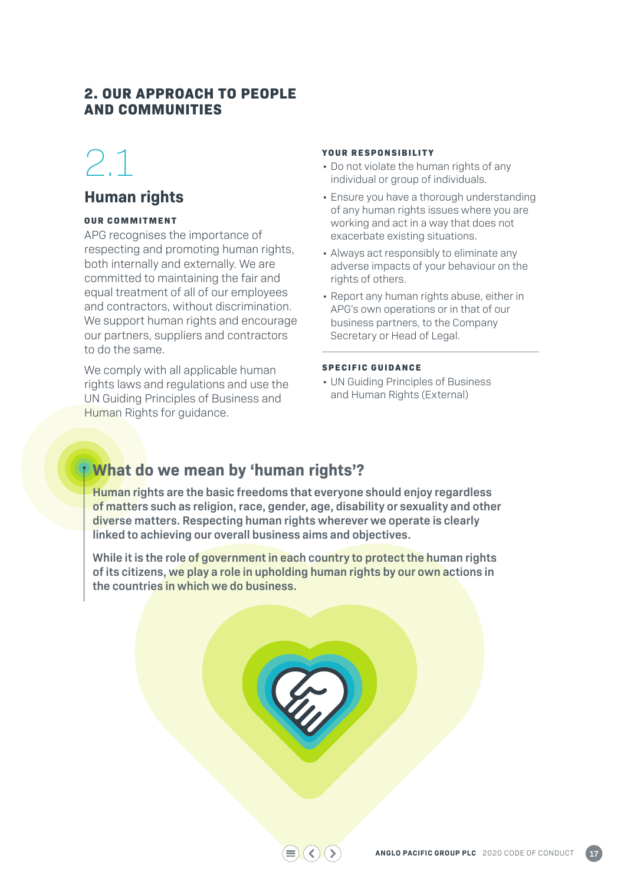### **2. OUR APPROACH TO PEOPLE AND COMMUNITIES**

# 2.1

### **Human rights**

#### **OUR COMMITMENT**

APG recognises the importance of respecting and promoting human rights, both internally and externally. We are committed to maintaining the fair and equal treatment of all of our employees and contractors, without discrimination. We support human rights and encourage our partners, suppliers and contractors to do the same.

We comply with all applicable human rights laws and regulations and use the UN Guiding Principles of Business and Human Rights for guidance.

#### **YOUR RESPONSIBILITY**

- Do not violate the human rights of any individual or group of individuals.
- Ensure you have a thorough understanding of any human rights issues where you are working and act in a way that does not exacerbate existing situations.
- Always act responsibly to eliminate any adverse impacts of your behaviour on the rights of others.
- Report any human rights abuse, either in APG's own operations or in that of our business partners, to the Company Secretary or Head of Legal.

#### **SPECIFIC GUIDANCE**

• UN Guiding Principles of Business and Human Rights (External)

## **What do we mean by 'human rights'?**

**Human rights are the basic freedoms that everyone should enjoy regardless of matters such as religion, race, gender, age, disability or sexuality and other diverse matters. Respecting human rights wherever we operate is clearly linked to achieving our overall business aims and objectives.**

**While it is the role of government in each country to protect the human rights of its citizens, we play a role in upholding human rights by our own actions in the countries in which we do business.**

K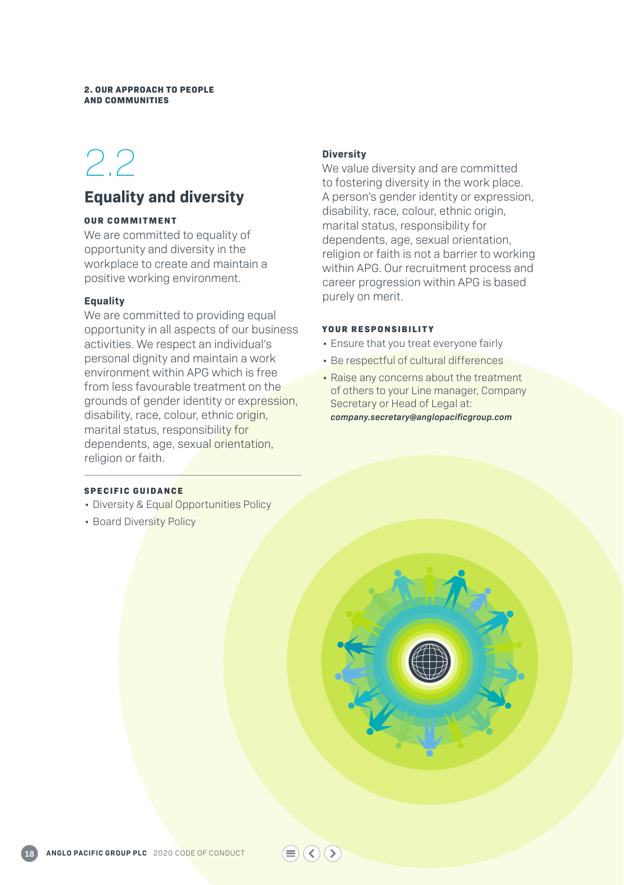#### **2. OUR APPROACH TO PEOPLE AND COMMUNITIES**

## 2.2

### **Equality and diversity**

#### **OUR COMMITMENT**

We are committed to equality of opportunity and diversity in the workplace to create and maintain a positive working environment.

#### **Equality**

We are committed to providing equal opportunity in all aspects of our business activities. We respect an individual's personal dignity and maintain a work environment within APG which is free from less favourable treatment on the grounds of gender identity or expression, disability, race, colour, ethnic origin, marital status, responsibility for dependents, age, sexual orientation, religion or faith.

#### **Diversity**

We value diversity and are committed to fostering diversity in the work place. A person's gender identity or expression, disability, race, colour, ethnic origin, marital status, responsibility for dependents, age, sexual orientation, religion or faith is not a barrier to working within APG. Our recruitment process and career progression within APG is based purely on merit.

#### **YOUR RESPONSIBILITY**

 $\left( \langle \rangle \right)$ 

- Ensure that you treat everyone fairly
- Be respectful of cultural differences
- Raise any concerns about the treatment of others to your Line manager, Company Secretary or Head of Legal at: *company.secretary@anglopacificgroup.com*

#### **SPECIFIC GUIDANCE**

- Diversity & Equal Opportunities Policy
- Board Diversity Policy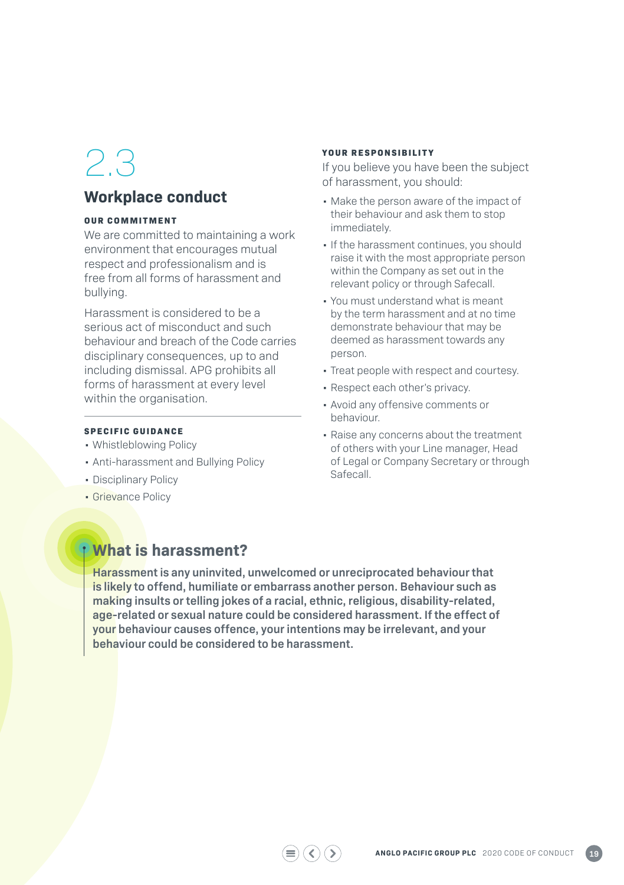### **Workplace conduct**

#### **OUR COMMITMENT**

We are committed to maintaining a work environment that encourages mutual respect and professionalism and is free from all forms of harassment and bullying.

Harassment is considered to be a serious act of misconduct and such behaviour and breach of the Code carries disciplinary consequences, up to and including dismissal. APG prohibits all forms of harassment at every level within the organisation.

#### **SPECIFIC GUIDANCE**

- Whistleblowing Policy
- Anti-harassment and Bullying Policy
- Disciplinary Policy
- Grievance Policy

#### **YOUR RESPONSIBILITY**

If you believe you have been the subject of harassment, you should:

- Make the person aware of the impact of their behaviour and ask them to stop immediately.
- If the harassment continues, you should raise it with the most appropriate person within the Company as set out in the relevant policy or through Safecall.
- You must understand what is meant by the term harassment and at no time demonstrate behaviour that may be deemed as harassment towards any person.
- Treat people with respect and courtesy.
- Respect each other's privacy.
- Avoid any offensive comments or behaviour.
- Raise any concerns about the treatment of others with your Line manager, Head of Legal or Company Secretary or through Safecall.

## **What is harassment?**

**Harassment is any uninvited, unwelcomed or unreciprocated behaviour that is likely to offend, humiliate or embarrass another person. Behaviour such as making insults or telling jokes of a racial, ethnic, religious, disability-related, age-related or sexual nature could be considered harassment. If the effect of your behaviour causes offence, your intentions may be irrelevant, and your behaviour could be considered to be harassment.** 

 $\bigcirc$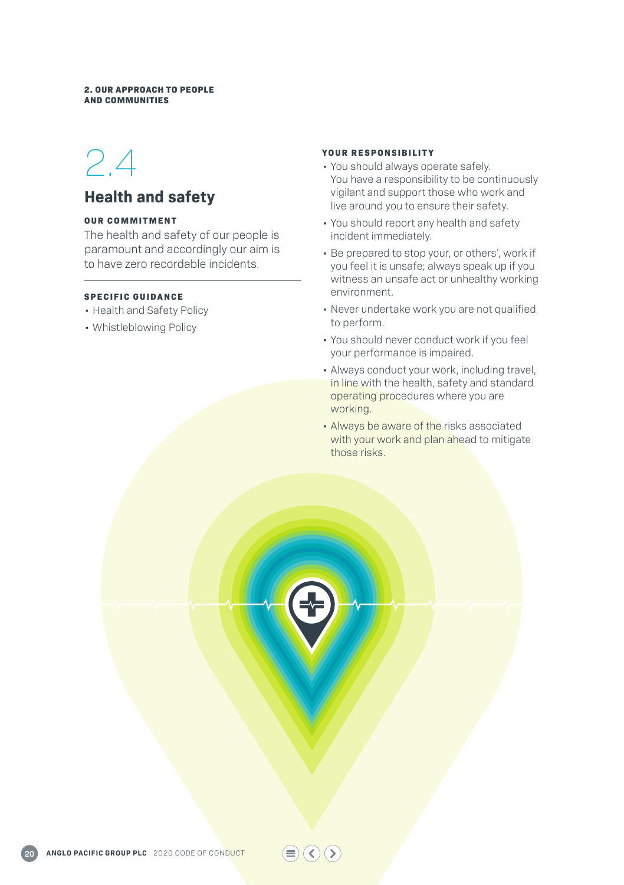#### **2. OUR APPROACH TO PEOPLE AND COMMUNITIES**

## 2.4

### **Health and safety**

#### **OUR COMMITMENT**

The health and safety of our people is paramount and accordingly our aim is to have zero recordable incidents.

#### **SPECIFIC GUIDANCE**

- Health and Safety Policy
- Whistleblowing Policy

#### **YOUR RESPONSIBILITY**

- You should always operate safely. You have a responsibility to be continuously vigilant and support those who work and live around you to ensure their safety.
- You should report any health and safety incident immediately.
- Be prepared to stop your, or others', work if you feel it is unsafe; always speak up if you witness an unsafe act or unhealthy working environment.
- Never undertake work you are not qualified to perform.
- You should never conduct work if you feel your performance is impaired.
- Always conduct your work, including travel, in line with the health, safety and standard operating procedures where you are working.
- Always be aware of the risks associated with your work and plan ahead to mitigate those risks.

 $\textcircled{\textcircled{\scriptsize{*}}}$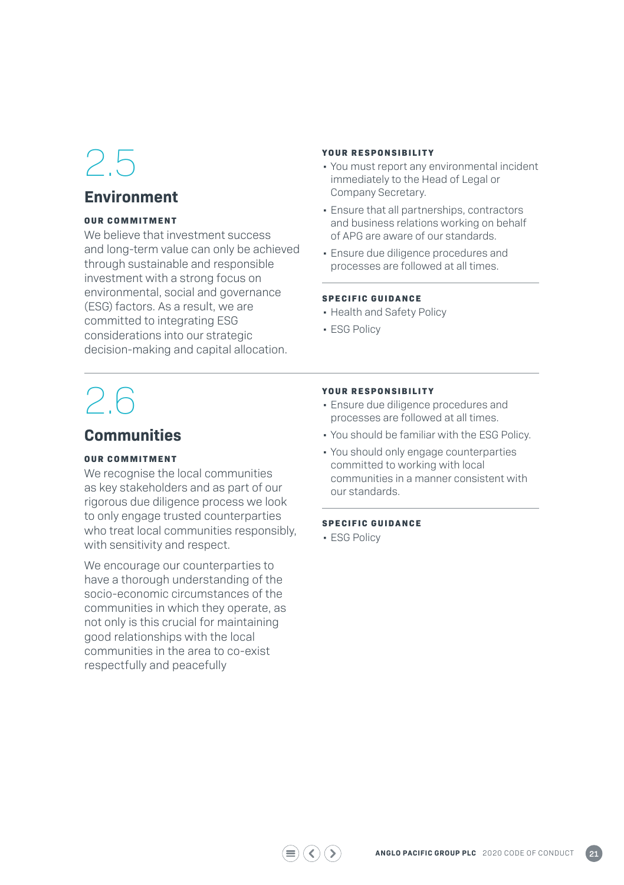## **Environment**

#### **OUR COMMITMENT**

We believe that investment success and long-term value can only be achieved through sustainable and responsible investment with a strong focus on environmental, social and governance (ESG) factors. As a result, we are committed to integrating ESG considerations into our strategic decision-making and capital allocation.

#### **YOUR RESPONSIBILITY**

- You must report any environmental incident immediately to the Head of Legal or Company Secretary.
- Ensure that all partnerships, contractors and business relations working on behalf of APG are aware of our standards.
- Ensure due diligence procedures and processes are followed at all times.

#### **SPECIFIC GUIDANCE**

- Health and Safety Policy
- ESG Policy

# 2.6

### **Communities**

#### **OUR COMMITMENT**

We recognise the local communities as key stakeholders and as part of our rigorous due diligence process we look to only engage trusted counterparties who treat local communities responsibly, with sensitivity and respect.

We encourage our counterparties to have a thorough understanding of the socio-economic circumstances of the communities in which they operate, as not only is this crucial for maintaining good relationships with the local communities in the area to co-exist respectfully and peacefully

#### **YOUR RESPONSIBILITY**

- Ensure due diligence procedures and processes are followed at all times.
- You should be familiar with the ESG Policy.
- You should only engage counterparties committed to working with local communities in a manner consistent with our standards.

#### **SPECIFIC GUIDANCE**

• ESG Policy

 $\left(\zeta\right)\left(\zeta\right)$